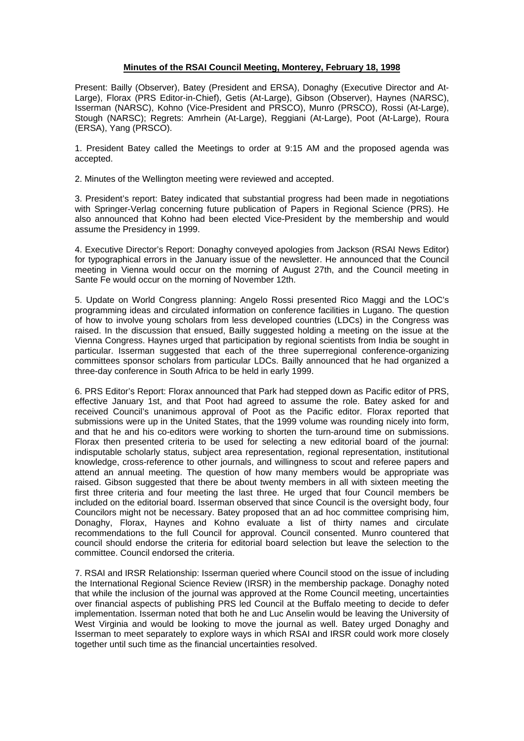## **Minutes of the RSAI Council Meeting, Monterey, February 18, 1998**

Present: Bailly (Observer), Batey (President and ERSA), Donaghy (Executive Director and At-Large), Florax (PRS Editor-in-Chief), Getis (At-Large), Gibson (Observer), Haynes (NARSC), Isserman (NARSC), Kohno (Vice-President and PRSCO), Munro (PRSCO), Rossi (At-Large), Stough (NARSC); Regrets: Amrhein (At-Large), Reggiani (At-Large), Poot (At-Large), Roura (ERSA), Yang (PRSCO).

1. President Batey called the Meetings to order at 9:15 AM and the proposed agenda was accepted.

2. Minutes of the Wellington meeting were reviewed and accepted.

3. President's report: Batey indicated that substantial progress had been made in negotiations with Springer-Verlag concerning future publication of Papers in Regional Science (PRS). He also announced that Kohno had been elected Vice-President by the membership and would assume the Presidency in 1999.

4. Executive Director's Report: Donaghy conveyed apologies from Jackson (RSAI News Editor) for typographical errors in the January issue of the newsletter. He announced that the Council meeting in Vienna would occur on the morning of August 27th, and the Council meeting in Sante Fe would occur on the morning of November 12th.

5. Update on World Congress planning: Angelo Rossi presented Rico Maggi and the LOC's programming ideas and circulated information on conference facilities in Lugano. The question of how to involve young scholars from less developed countries (LDCs) in the Congress was raised. In the discussion that ensued, Bailly suggested holding a meeting on the issue at the Vienna Congress. Haynes urged that participation by regional scientists from India be sought in particular. Isserman suggested that each of the three superregional conference-organizing committees sponsor scholars from particular LDCs. Bailly announced that he had organized a three-day conference in South Africa to be held in early 1999.

6. PRS Editor's Report: Florax announced that Park had stepped down as Pacific editor of PRS, effective January 1st, and that Poot had agreed to assume the role. Batey asked for and received Council's unanimous approval of Poot as the Pacific editor. Florax reported that submissions were up in the United States, that the 1999 volume was rounding nicely into form, and that he and his co-editors were working to shorten the turn-around time on submissions. Florax then presented criteria to be used for selecting a new editorial board of the journal: indisputable scholarly status, subject area representation, regional representation, institutional knowledge, cross-reference to other journals, and willingness to scout and referee papers and attend an annual meeting. The question of how many members would be appropriate was raised. Gibson suggested that there be about twenty members in all with sixteen meeting the first three criteria and four meeting the last three. He urged that four Council members be included on the editorial board. Isserman observed that since Council is the oversight body, four Councilors might not be necessary. Batey proposed that an ad hoc committee comprising him, Donaghy, Florax, Haynes and Kohno evaluate a list of thirty names and circulate recommendations to the full Council for approval. Council consented. Munro countered that council should endorse the criteria for editorial board selection but leave the selection to the committee. Council endorsed the criteria.

7. RSAI and IRSR Relationship: Isserman queried where Council stood on the issue of including the International Regional Science Review (IRSR) in the membership package. Donaghy noted that while the inclusion of the journal was approved at the Rome Council meeting, uncertainties over financial aspects of publishing PRS led Council at the Buffalo meeting to decide to defer implementation. Isserman noted that both he and Luc Anselin would be leaving the University of West Virginia and would be looking to move the journal as well. Batey urged Donaghy and Isserman to meet separately to explore ways in which RSAI and IRSR could work more closely together until such time as the financial uncertainties resolved.